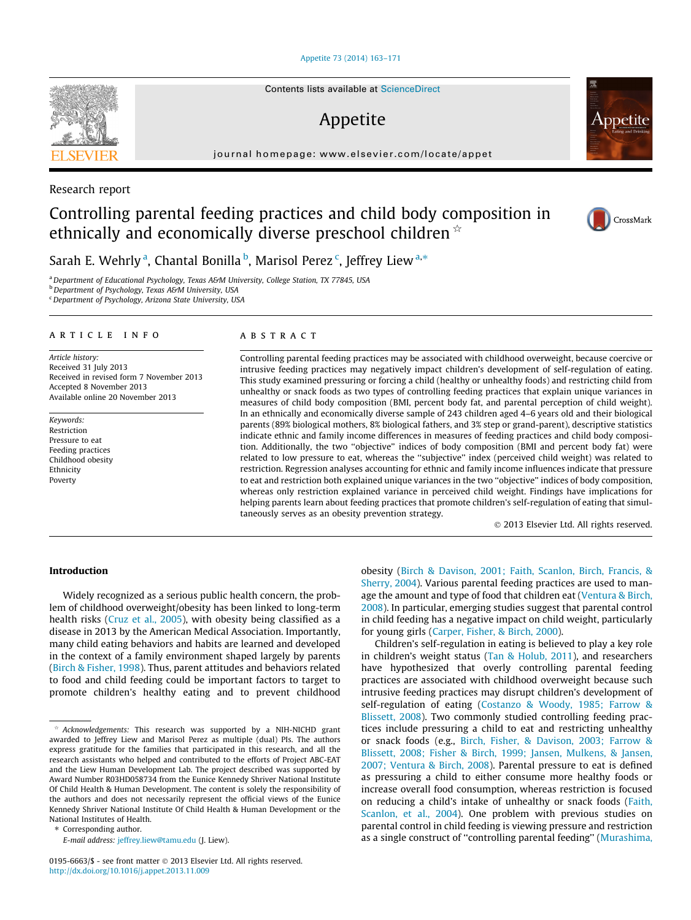#### [Appetite 73 \(2014\) 163–171](http://dx.doi.org/10.1016/j.appet.2013.11.009)

Contents lists available at [ScienceDirect](http://www.sciencedirect.com/science/journal/01956663)

## Appetite

journal homepage: [www.elsevier.com/locate/appet](http://www.elsevier.com/locate/appet)

# Research report

# Controlling parental feeding practices and child body composition in ethnically and economically diverse preschool children  $\dot{\alpha}$



a Department of Educational Psychology, Texas A&M University, College Station, TX 77845, USA

**b** Department of Psychology, Texas A&M University, USA

<sup>c</sup>Department of Psychology, Arizona State University, USA

#### article info

Article history: Received 31 July 2013 Received in revised form 7 November 2013 Accepted 8 November 2013 Available online 20 November 2013

Keywords: Restriction Pressure to eat Feeding practices Childhood obesity Ethnicity Poverty

### **ABSTRACT**

Controlling parental feeding practices may be associated with childhood overweight, because coercive or intrusive feeding practices may negatively impact children's development of self-regulation of eating. This study examined pressuring or forcing a child (healthy or unhealthy foods) and restricting child from unhealthy or snack foods as two types of controlling feeding practices that explain unique variances in measures of child body composition (BMI, percent body fat, and parental perception of child weight). In an ethnically and economically diverse sample of 243 children aged 4–6 years old and their biological parents (89% biological mothers, 8% biological fathers, and 3% step or grand-parent), descriptive statistics indicate ethnic and family income differences in measures of feeding practices and child body composition. Additionally, the two ''objective'' indices of body composition (BMI and percent body fat) were related to low pressure to eat, whereas the ''subjective'' index (perceived child weight) was related to restriction. Regression analyses accounting for ethnic and family income influences indicate that pressure to eat and restriction both explained unique variances in the two ''objective'' indices of body composition, whereas only restriction explained variance in perceived child weight. Findings have implications for helping parents learn about feeding practices that promote children's self-regulation of eating that simultaneously serves as an obesity prevention strategy.

- 2013 Elsevier Ltd. All rights reserved.

#### Introduction

Widely recognized as a serious public health concern, the problem of childhood overweight/obesity has been linked to long-term health risks [\(Cruz et al., 2005](#page-7-0)), with obesity being classified as a disease in 2013 by the American Medical Association. Importantly, many child eating behaviors and habits are learned and developed in the context of a family environment shaped largely by parents ([Birch & Fisher, 1998\)](#page-7-0). Thus, parent attitudes and behaviors related to food and child feeding could be important factors to target to promote children's healthy eating and to prevent childhood

⇑ Corresponding author.

obesity ([Birch & Davison, 2001; Faith, Scanlon, Birch, Francis, &](#page-7-0) [Sherry, 2004](#page-7-0)). Various parental feeding practices are used to manage the amount and type of food that children eat [\(Ventura & Birch,](#page-8-0) [2008](#page-8-0)). In particular, emerging studies suggest that parental control in child feeding has a negative impact on child weight, particularly for young girls ([Carper, Fisher, & Birch, 2000\)](#page-7-0).

Children's self-regulation in eating is believed to play a key role in children's weight status ([Tan & Holub, 2011\)](#page-8-0), and researchers have hypothesized that overly controlling parental feeding practices are associated with childhood overweight because such intrusive feeding practices may disrupt children's development of self-regulation of eating [\(Costanzo & Woody, 1985; Farrow &](#page-7-0) [Blissett, 2008](#page-7-0)). Two commonly studied controlling feeding practices include pressuring a child to eat and restricting unhealthy or snack foods (e.g., [Birch, Fisher, & Davison, 2003; Farrow &](#page-7-0) [Blissett, 2008; Fisher & Birch, 1999; Jansen, Mulkens, & Jansen,](#page-7-0) [2007; Ventura & Birch, 2008\)](#page-7-0). Parental pressure to eat is defined as pressuring a child to either consume more healthy foods or increase overall food consumption, whereas restriction is focused on reducing a child's intake of unhealthy or snack foods ([Faith,](#page-7-0) [Scanlon, et al., 2004](#page-7-0)). One problem with previous studies on parental control in child feeding is viewing pressure and restriction as a single construct of ''controlling parental feeding'' ([Murashima,](#page-8-0)







Acknowledgements: This research was supported by a NIH-NICHD grant awarded to Jeffrey Liew and Marisol Perez as multiple (dual) PIs. The authors express gratitude for the families that participated in this research, and all the research assistants who helped and contributed to the efforts of Project ABC-EAT and the Liew Human Development Lab. The project described was supported by Award Number R03HD058734 from the Eunice Kennedy Shriver National Institute Of Child Health & Human Development. The content is solely the responsibility of the authors and does not necessarily represent the official views of the Eunice Kennedy Shriver National Institute Of Child Health & Human Development or the National Institutes of Health.

E-mail address: [jeffrey.liew@tamu.edu](mailto:jeffrey.liew@tamu.edu) (J. Liew).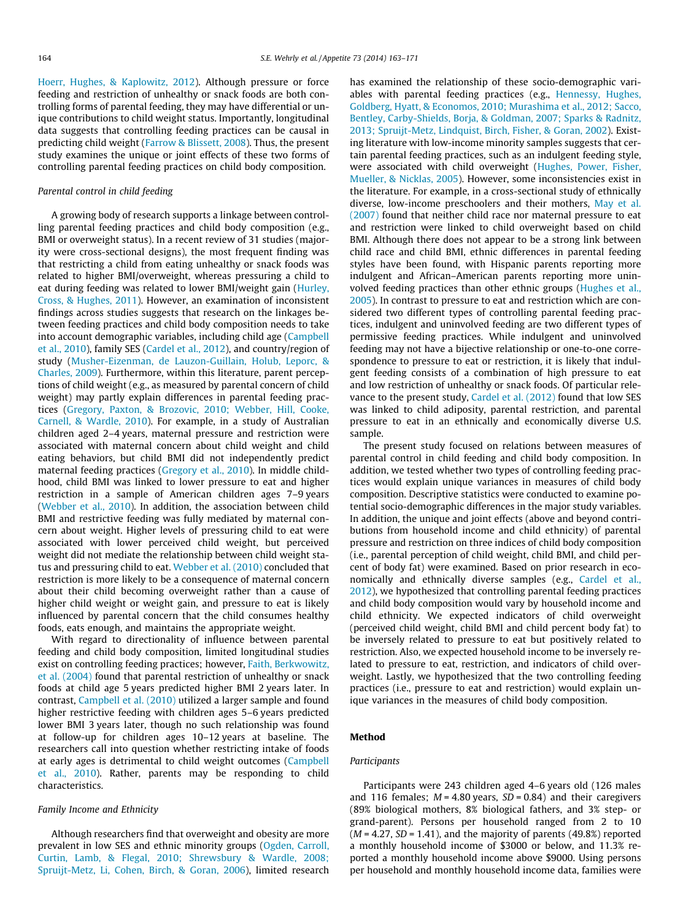[Hoerr, Hughes, & Kaplowitz, 2012](#page-8-0)). Although pressure or force feeding and restriction of unhealthy or snack foods are both controlling forms of parental feeding, they may have differential or unique contributions to child weight status. Importantly, longitudinal data suggests that controlling feeding practices can be causal in predicting child weight [\(Farrow & Blissett, 2008](#page-7-0)). Thus, the present study examines the unique or joint effects of these two forms of controlling parental feeding practices on child body composition.

#### Parental control in child feeding

A growing body of research supports a linkage between controlling parental feeding practices and child body composition (e.g., BMI or overweight status). In a recent review of 31 studies (majority were cross-sectional designs), the most frequent finding was that restricting a child from eating unhealthy or snack foods was related to higher BMI/overweight, whereas pressuring a child to eat during feeding was related to lower BMI/weight gain [\(Hurley,](#page-7-0) [Cross, & Hughes, 2011](#page-7-0)). However, an examination of inconsistent findings across studies suggests that research on the linkages between feeding practices and child body composition needs to take into account demographic variables, including child age [\(Campbell](#page-7-0) [et al., 2010](#page-7-0)), family SES [\(Cardel et al., 2012](#page-7-0)), and country/region of study [\(Musher-Eizenman, de Lauzon-Guillain, Holub, Leporc, &](#page-8-0) [Charles, 2009\)](#page-8-0). Furthermore, within this literature, parent perceptions of child weight (e.g., as measured by parental concern of child weight) may partly explain differences in parental feeding practices ([Gregory, Paxton, & Brozovic, 2010; Webber, Hill, Cooke,](#page-7-0) [Carnell, & Wardle, 2010\)](#page-7-0). For example, in a study of Australian children aged 2–4 years, maternal pressure and restriction were associated with maternal concern about child weight and child eating behaviors, but child BMI did not independently predict maternal feeding practices ([Gregory et al., 2010\)](#page-7-0). In middle childhood, child BMI was linked to lower pressure to eat and higher restriction in a sample of American children ages 7–9 years ([Webber et al., 2010](#page-8-0)). In addition, the association between child BMI and restrictive feeding was fully mediated by maternal concern about weight. Higher levels of pressuring child to eat were associated with lower perceived child weight, but perceived weight did not mediate the relationship between child weight status and pressuring child to eat. [Webber et al. \(2010\)](#page-8-0) concluded that restriction is more likely to be a consequence of maternal concern about their child becoming overweight rather than a cause of higher child weight or weight gain, and pressure to eat is likely influenced by parental concern that the child consumes healthy foods, eats enough, and maintains the appropriate weight.

With regard to directionality of influence between parental feeding and child body composition, limited longitudinal studies exist on controlling feeding practices; however, [Faith, Berkwowitz,](#page-7-0) [et al. \(2004\)](#page-7-0) found that parental restriction of unhealthy or snack foods at child age 5 years predicted higher BMI 2 years later. In contrast, [Campbell et al. \(2010\)](#page-7-0) utilized a larger sample and found higher restrictive feeding with children ages 5–6 years predicted lower BMI 3 years later, though no such relationship was found at follow-up for children ages 10–12 years at baseline. The researchers call into question whether restricting intake of foods at early ages is detrimental to child weight outcomes [\(Campbell](#page-7-0) [et al., 2010\)](#page-7-0). Rather, parents may be responding to child characteristics.

#### Family Income and Ethnicity

Although researchers find that overweight and obesity are more prevalent in low SES and ethnic minority groups [\(Ogden, Carroll,](#page-8-0) [Curtin, Lamb, & Flegal, 2010; Shrewsbury & Wardle, 2008;](#page-8-0) [Spruijt-Metz, Li, Cohen, Birch, & Goran, 2006\)](#page-8-0), limited research

has examined the relationship of these socio-demographic variables with parental feeding practices (e.g., [Hennessy, Hughes,](#page-7-0) [Goldberg, Hyatt, & Economos, 2010; Murashima et al., 2012; Sacco,](#page-7-0) [Bentley, Carby-Shields, Borja, & Goldman, 2007; Sparks & Radnitz,](#page-7-0) [2013; Spruijt-Metz, Lindquist, Birch, Fisher, & Goran, 2002\)](#page-7-0). Existing literature with low-income minority samples suggests that certain parental feeding practices, such as an indulgent feeding style, were associated with child overweight [\(Hughes, Power, Fisher,](#page-7-0) [Mueller, & Nicklas, 2005](#page-7-0)). However, some inconsistencies exist in the literature. For example, in a cross-sectional study of ethnically diverse, low-income preschoolers and their mothers, [May et al.](#page-7-0) [\(2007\)](#page-7-0) found that neither child race nor maternal pressure to eat and restriction were linked to child overweight based on child BMI. Although there does not appear to be a strong link between child race and child BMI, ethnic differences in parental feeding styles have been found, with Hispanic parents reporting more indulgent and African–American parents reporting more uninvolved feeding practices than other ethnic groups [\(Hughes et al.,](#page-7-0) [2005\)](#page-7-0). In contrast to pressure to eat and restriction which are considered two different types of controlling parental feeding practices, indulgent and uninvolved feeding are two different types of permissive feeding practices. While indulgent and uninvolved feeding may not have a bijective relationship or one-to-one correspondence to pressure to eat or restriction, it is likely that indulgent feeding consists of a combination of high pressure to eat and low restriction of unhealthy or snack foods. Of particular relevance to the present study, [Cardel et al. \(2012\)](#page-7-0) found that low SES was linked to child adiposity, parental restriction, and parental pressure to eat in an ethnically and economically diverse U.S. sample.

The present study focused on relations between measures of parental control in child feeding and child body composition. In addition, we tested whether two types of controlling feeding practices would explain unique variances in measures of child body composition. Descriptive statistics were conducted to examine potential socio-demographic differences in the major study variables. In addition, the unique and joint effects (above and beyond contributions from household income and child ethnicity) of parental pressure and restriction on three indices of child body composition (i.e., parental perception of child weight, child BMI, and child percent of body fat) were examined. Based on prior research in economically and ethnically diverse samples (e.g., [Cardel et al.,](#page-7-0) [2012\)](#page-7-0), we hypothesized that controlling parental feeding practices and child body composition would vary by household income and child ethnicity. We expected indicators of child overweight (perceived child weight, child BMI and child percent body fat) to be inversely related to pressure to eat but positively related to restriction. Also, we expected household income to be inversely related to pressure to eat, restriction, and indicators of child overweight. Lastly, we hypothesized that the two controlling feeding practices (i.e., pressure to eat and restriction) would explain unique variances in the measures of child body composition.

## Method

#### Participants

Participants were 243 children aged 4–6 years old (126 males and 116 females;  $M = 4.80$  years,  $SD = 0.84$ ) and their caregivers (89% biological mothers, 8% biological fathers, and 3% step- or grand-parent). Persons per household ranged from 2 to 10  $(M = 4.27, SD = 1.41)$ , and the majority of parents (49.8%) reported a monthly household income of \$3000 or below, and 11.3% reported a monthly household income above \$9000. Using persons per household and monthly household income data, families were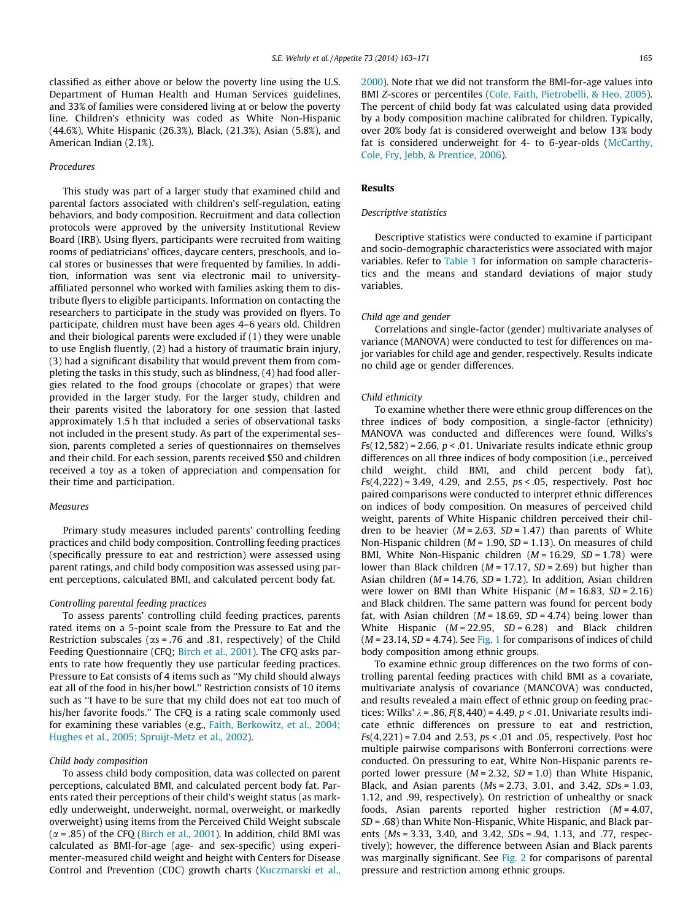classified as either above or below the poverty line using the U.S. Department of Human Health and Human Services guidelines, and 33% of families were considered living at or below the poverty line. Children's ethnicity was coded as White Non-Hispanic (44.6%), White Hispanic (26.3%), Black, (21.3%), Asian (5.8%), and American Indian (2.1%).

#### Procedures

This study was part of a larger study that examined child and parental factors associated with children's self-regulation, eating behaviors, and body composition. Recruitment and data collection protocols were approved by the university Institutional Review Board (IRB). Using flyers, participants were recruited from waiting rooms of pediatricians' offices, daycare centers, preschools, and local stores or businesses that were frequented by families. In addition, information was sent via electronic mail to universityaffiliated personnel who worked with families asking them to distribute flyers to eligible participants. Information on contacting the researchers to participate in the study was provided on flyers. To participate, children must have been ages 4–6 years old. Children and their biological parents were excluded if (1) they were unable to use English fluently, (2) had a history of traumatic brain injury, (3) had a significant disability that would prevent them from completing the tasks in this study, such as blindness, (4) had food allergies related to the food groups (chocolate or grapes) that were provided in the larger study. For the larger study, children and their parents visited the laboratory for one session that lasted approximately 1.5 h that included a series of observational tasks not included in the present study. As part of the experimental session, parents completed a series of questionnaires on themselves and their child. For each session, parents received \$50 and children received a toy as a token of appreciation and compensation for their time and participation.

### Measures

Primary study measures included parents' controlling feeding practices and child body composition. Controlling feeding practices (specifically pressure to eat and restriction) were assessed using parent ratings, and child body composition was assessed using parent perceptions, calculated BMI, and calculated percent body fat.

#### Controlling parental feeding practices

To assess parents' controlling child feeding practices, parents rated items on a 5-point scale from the Pressure to Eat and the Restriction subscales ( $\alpha$ s = .76 and .81, respectively) of the Child Feeding Questionnaire (CFQ; [Birch et al., 2001\)](#page-7-0). The CFQ asks parents to rate how frequently they use particular feeding practices. Pressure to Eat consists of 4 items such as ''My child should always eat all of the food in his/her bowl.'' Restriction consists of 10 items such as ''I have to be sure that my child does not eat too much of his/her favorite foods.'' The CFQ is a rating scale commonly used for examining these variables (e.g., [Faith, Berkowitz, et al., 2004;](#page-7-0) [Hughes et al., 2005; Spruijt-Metz et al., 2002\)](#page-7-0).

#### Child body composition

To assess child body composition, data was collected on parent perceptions, calculated BMI, and calculated percent body fat. Parents rated their perceptions of their child's weight status (as markedly underweight, underweight, normal, overweight, or markedly overweight) using items from the Perceived Child Weight subscale  $(\alpha = .85)$  of the CFQ ([Birch et al., 2001\)](#page-7-0). In addition, child BMI was calculated as BMI-for-age (age- and sex-specific) using experimenter-measured child weight and height with Centers for Disease Control and Prevention (CDC) growth charts ([Kuczmarski et al.,](#page-7-0) [2000](#page-7-0)). Note that we did not transform the BMI-for-age values into BMI Z-scores or percentiles ([Cole, Faith, Pietrobelli, & Heo, 2005\)](#page-7-0). The percent of child body fat was calculated using data provided by a body composition machine calibrated for children. Typically, over 20% body fat is considered overweight and below 13% body fat is considered underweight for 4- to 6-year-olds [\(McCarthy,](#page-8-0) [Cole, Fry, Jebb, & Prentice, 2006](#page-8-0)).

#### Results

#### Descriptive statistics

Descriptive statistics were conducted to examine if participant and socio-demographic characteristics were associated with major variables. Refer to [Table 1](#page-3-0) for information on sample characteristics and the means and standard deviations of major study variables.

#### Child age and gender

Correlations and single-factor (gender) multivariate analyses of variance (MANOVA) were conducted to test for differences on major variables for child age and gender, respectively. Results indicate no child age or gender differences.

#### Child ethnicity

To examine whether there were ethnic group differences on the three indices of body composition, a single-factor (ethnicity) MANOVA was conducted and differences were found, Wilks's  $Fs(12, 582) = 2.66$ ,  $p < .01$ . Univariate results indicate ethnic group differences on all three indices of body composition (i.e., perceived child weight, child BMI, and child percent body fat),  $Fs(4, 222) = 3.49, 4.29, and 2.55, ps < .05, respectively. Post hoc$ paired comparisons were conducted to interpret ethnic differences on indices of body composition. On measures of perceived child weight, parents of White Hispanic children perceived their children to be heavier ( $M = 2.63$ ,  $SD = 1.47$ ) than parents of White Non-Hispanic children ( $M = 1.90$ ,  $SD = 1.13$ ). On measures of child BMI, White Non-Hispanic children  $(M = 16.29, SD = 1.78)$  were lower than Black children ( $M = 17.17$ ,  $SD = 2.69$ ) but higher than Asian children ( $M = 14.76$ ,  $SD = 1.72$ ). In addition, Asian children were lower on BMI than White Hispanic ( $M = 16.83$ ,  $SD = 2.16$ ) and Black children. The same pattern was found for percent body fat, with Asian children ( $M = 18.69$ ,  $SD = 4.74$ ) being lower than White Hispanic  $(M = 22.95, SD = 6.28)$  and Black children  $(M = 23.14, SD = 4.74)$ . See [Fig. 1](#page-3-0) for comparisons of indices of child body composition among ethnic groups.

To examine ethnic group differences on the two forms of controlling parental feeding practices with child BMI as a covariate, multivariate analysis of covariance (MANCOVA) was conducted, and results revealed a main effect of ethnic group on feeding practices: Wilks'  $\lambda$  = .86,  $F(8,440)$  = 4.49,  $p < .01$ . Univariate results indicate ethnic differences on pressure to eat and restriction,  $Fs(4, 221) = 7.04$  and 2.53,  $ps < .01$  and .05, respectively. Post hoc multiple pairwise comparisons with Bonferroni corrections were conducted. On pressuring to eat, White Non-Hispanic parents reported lower pressure  $(M = 2.32, SD = 1.0)$  than White Hispanic, Black, and Asian parents (Ms = 2.73, 3.01, and 3.42, SDs = 1.03, 1.12, and .99, respectively). On restriction of unhealthy or snack foods, Asian parents reported higher restriction (M = 4.07, SD = .68) than White Non-Hispanic, White Hispanic, and Black parents (Ms = 3.33, 3.40, and 3.42, SDs = .94, 1.13, and .77, respectively); however, the difference between Asian and Black parents was marginally significant. See [Fig. 2](#page-4-0) for comparisons of parental pressure and restriction among ethnic groups.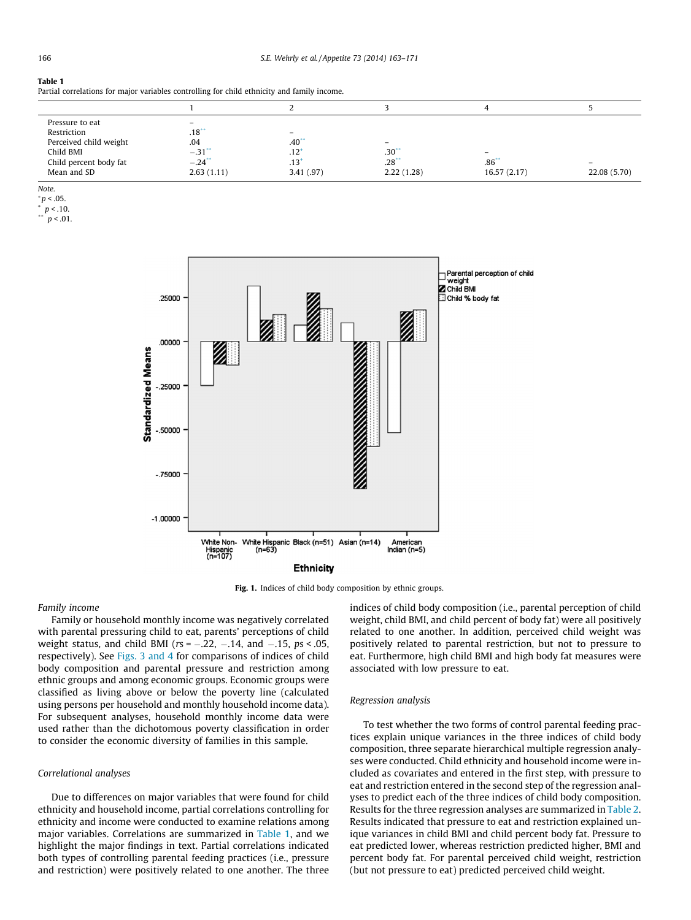#### <span id="page-3-0"></span>Table 1

| Partial correlations for major variables controlling for child ethnicity and family income. |  |  |  |  |
|---------------------------------------------------------------------------------------------|--|--|--|--|
|                                                                                             |  |  |  |  |

| Pressure to eat        | $\overline{\phantom{0}}$ |           |                          |             |                          |
|------------------------|--------------------------|-----------|--------------------------|-------------|--------------------------|
| Restriction            | .18                      |           |                          |             |                          |
| Perceived child weight | .04                      | .40       | $\overline{\phantom{0}}$ |             |                          |
| Child BMI              | $-.31$ <sup>*</sup>      | $.12^{+}$ | $.30$ <sup>**</sup>      |             |                          |
| Child percent body fat | $-.24$ <sup>*</sup>      | $.13^{+}$ | .28                      | .86         | $\overline{\phantom{a}}$ |
| Mean and SD            | 2.63(1.11)               | 3.41(.97) | 2.22(1.28)               | 16.57(2.17) | 22.08 (5.70)             |

## Note.

 $* p < .05.$ 

 $+p < .10.$ 

 $n < .01$ .



Fig. 1. Indices of child body composition by ethnic groups.

### Family income

Family or household monthly income was negatively correlated with parental pressuring child to eat, parents' perceptions of child weight status, and child BMI ( $rs = -.22, -.14,$  and  $-.15, ps < .05,$ respectively). See [Figs. 3 and 4](#page-4-0) for comparisons of indices of child body composition and parental pressure and restriction among ethnic groups and among economic groups. Economic groups were classified as living above or below the poverty line (calculated using persons per household and monthly household income data). For subsequent analyses, household monthly income data were used rather than the dichotomous poverty classification in order to consider the economic diversity of families in this sample.

#### Correlational analyses

Due to differences on major variables that were found for child ethnicity and household income, partial correlations controlling for ethnicity and income were conducted to examine relations among major variables. Correlations are summarized in Table 1, and we highlight the major findings in text. Partial correlations indicated both types of controlling parental feeding practices (i.e., pressure and restriction) were positively related to one another. The three

indices of child body composition (i.e., parental perception of child weight, child BMI, and child percent of body fat) were all positively related to one another. In addition, perceived child weight was positively related to parental restriction, but not to pressure to eat. Furthermore, high child BMI and high body fat measures were associated with low pressure to eat.

#### Regression analysis

To test whether the two forms of control parental feeding practices explain unique variances in the three indices of child body composition, three separate hierarchical multiple regression analyses were conducted. Child ethnicity and household income were included as covariates and entered in the first step, with pressure to eat and restriction entered in the second step of the regression analyses to predict each of the three indices of child body composition. Results for the three regression analyses are summarized in [Table 2.](#page-6-0) Results indicated that pressure to eat and restriction explained unique variances in child BMI and child percent body fat. Pressure to eat predicted lower, whereas restriction predicted higher, BMI and percent body fat. For parental perceived child weight, restriction (but not pressure to eat) predicted perceived child weight.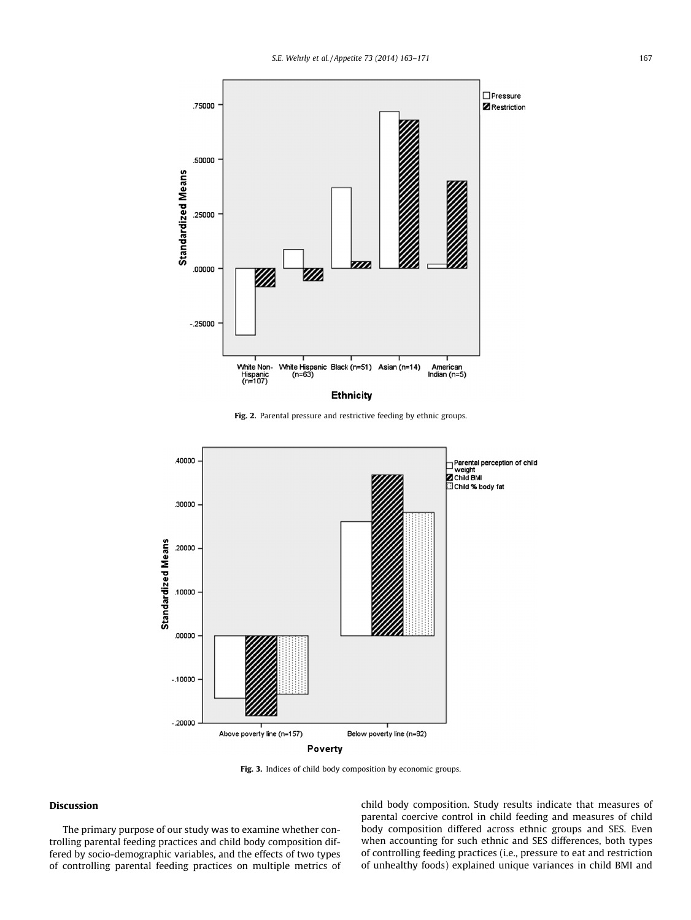<span id="page-4-0"></span>

Fig. 2. Parental pressure and restrictive feeding by ethnic groups.



Fig. 3. Indices of child body composition by economic groups.

### Discussion

The primary purpose of our study was to examine whether controlling parental feeding practices and child body composition differed by socio-demographic variables, and the effects of two types of controlling parental feeding practices on multiple metrics of child body composition. Study results indicate that measures of parental coercive control in child feeding and measures of child body composition differed across ethnic groups and SES. Even when accounting for such ethnic and SES differences, both types of controlling feeding practices (i.e., pressure to eat and restriction of unhealthy foods) explained unique variances in child BMI and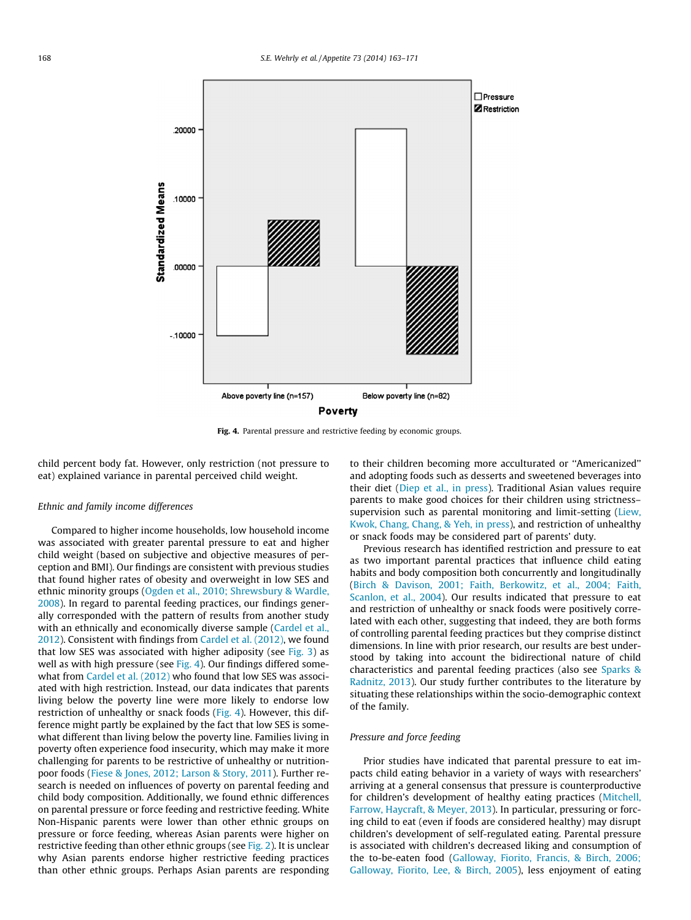

Fig. 4. Parental pressure and restrictive feeding by economic groups.

child percent body fat. However, only restriction (not pressure to eat) explained variance in parental perceived child weight.

#### Ethnic and family income differences

Compared to higher income households, low household income was associated with greater parental pressure to eat and higher child weight (based on subjective and objective measures of perception and BMI). Our findings are consistent with previous studies that found higher rates of obesity and overweight in low SES and ethnic minority groups [\(Ogden et al., 2010; Shrewsbury & Wardle,](#page-8-0) [2008\)](#page-8-0). In regard to parental feeding practices, our findings generally corresponded with the pattern of results from another study with an ethnically and economically diverse sample ([Cardel et al.,](#page-7-0) [2012\)](#page-7-0). Consistent with findings from [Cardel et al. \(2012\)](#page-7-0), we found that low SES was associated with higher adiposity (see [Fig. 3\)](#page-4-0) as well as with high pressure (see Fig. 4). Our findings differed some-what from [Cardel et al. \(2012\)](#page-7-0) who found that low SES was associated with high restriction. Instead, our data indicates that parents living below the poverty line were more likely to endorse low restriction of unhealthy or snack foods (Fig. 4). However, this difference might partly be explained by the fact that low SES is somewhat different than living below the poverty line. Families living in poverty often experience food insecurity, which may make it more challenging for parents to be restrictive of unhealthy or nutritionpoor foods [\(Fiese & Jones, 2012; Larson & Story, 2011](#page-7-0)). Further research is needed on influences of poverty on parental feeding and child body composition. Additionally, we found ethnic differences on parental pressure or force feeding and restrictive feeding. White Non-Hispanic parents were lower than other ethnic groups on pressure or force feeding, whereas Asian parents were higher on restrictive feeding than other ethnic groups (see [Fig. 2](#page-4-0)). It is unclear why Asian parents endorse higher restrictive feeding practices than other ethnic groups. Perhaps Asian parents are responding to their children becoming more acculturated or ''Americanized'' and adopting foods such as desserts and sweetened beverages into their diet [\(Diep et al., in press\)](#page-7-0). Traditional Asian values require parents to make good choices for their children using strictness– supervision such as parental monitoring and limit-setting [\(Liew,](#page-7-0) [Kwok, Chang, Chang, & Yeh, in press](#page-7-0)), and restriction of unhealthy or snack foods may be considered part of parents' duty.

Previous research has identified restriction and pressure to eat as two important parental practices that influence child eating habits and body composition both concurrently and longitudinally ([Birch & Davison, 2001; Faith, Berkowitz, et al., 2004; Faith,](#page-7-0) [Scanlon, et al., 2004\)](#page-7-0). Our results indicated that pressure to eat and restriction of unhealthy or snack foods were positively correlated with each other, suggesting that indeed, they are both forms of controlling parental feeding practices but they comprise distinct dimensions. In line with prior research, our results are best understood by taking into account the bidirectional nature of child characteristics and parental feeding practices (also see [Sparks &](#page-8-0) [Radnitz, 2013](#page-8-0)). Our study further contributes to the literature by situating these relationships within the socio-demographic context of the family.

## Pressure and force feeding

Prior studies have indicated that parental pressure to eat impacts child eating behavior in a variety of ways with researchers' arriving at a general consensus that pressure is counterproductive for children's development of healthy eating practices ([Mitchell,](#page-8-0) [Farrow, Haycraft, & Meyer, 2013](#page-8-0)). In particular, pressuring or forcing child to eat (even if foods are considered healthy) may disrupt children's development of self-regulated eating. Parental pressure is associated with children's decreased liking and consumption of the to-be-eaten food [\(Galloway, Fiorito, Francis, & Birch, 2006;](#page-7-0) [Galloway, Fiorito, Lee, & Birch, 2005](#page-7-0)), less enjoyment of eating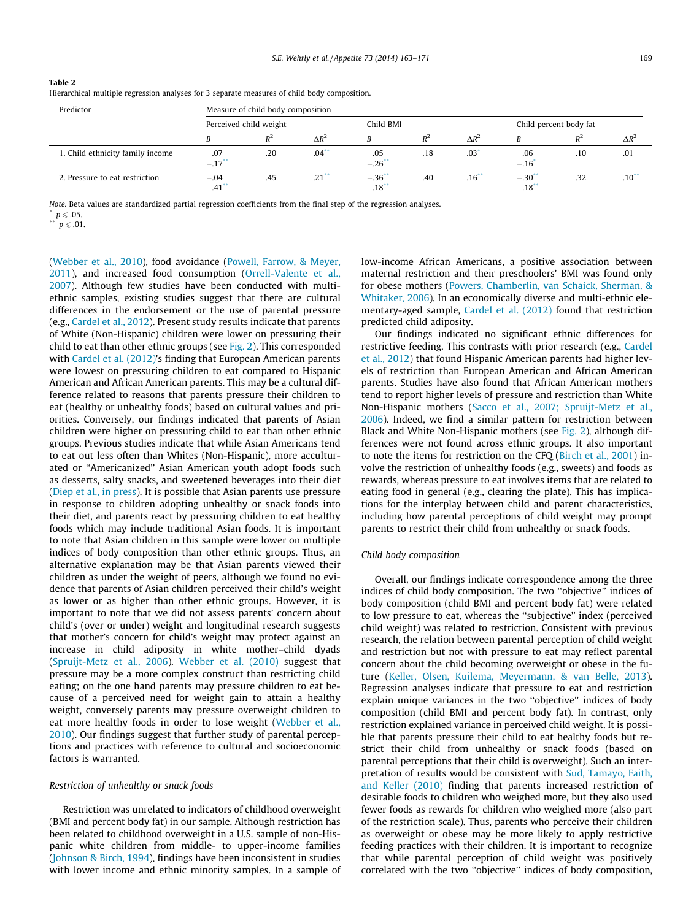<span id="page-6-0"></span>

| Table 2                                                                                      |  |
|----------------------------------------------------------------------------------------------|--|
| Hierarchical multiple regression analyses for 3 separate measures of child body composition. |  |

| Predictor                        | Measure of child body composition |                |                     |               |     |                     |                             |       |              |
|----------------------------------|-----------------------------------|----------------|---------------------|---------------|-----|---------------------|-----------------------------|-------|--------------|
|                                  | Perceived child weight            |                |                     | Child BMI     |     |                     | Child percent body fat      |       |              |
|                                  |                                   | $\mathbb{R}^2$ | $\triangle R^2$     | R             |     | $\triangle R^2$     |                             | $R^2$ | $\Delta R^2$ |
| 1. Child ethnicity family income | .07<br>$-.17$ <sup>**</sup>       | .20            | $.04$ <sup>**</sup> | .05<br>$-.26$ | .18 | .03                 | .06<br>$-.16$ <sup>*</sup>  | .10   | .01          |
| 2. Pressure to eat restriction   | $-.04$<br>$.41$ <sup>**</sup>     | .45            | $.21$ <sup>**</sup> | $-.36$<br>.18 | .40 | $.16$ <sup>**</sup> | $-.30$ <sup>**</sup><br>.18 | .32   | .10          |

Note. Beta values are standardized partial regression coefficients from the final step of the regression analyses.

 $p \le 0.05$ .

 $p \leq .01$ .

([Webber et al., 2010\)](#page-8-0), food avoidance ([Powell, Farrow, & Meyer,](#page-8-0) [2011\)](#page-8-0), and increased food consumption ([Orrell-Valente et al.,](#page-8-0) [2007](#page-8-0)). Although few studies have been conducted with multiethnic samples, existing studies suggest that there are cultural differences in the endorsement or the use of parental pressure (e.g., [Cardel et al., 2012\)](#page-7-0). Present study results indicate that parents of White (Non-Hispanic) children were lower on pressuring their child to eat than other ethnic groups (see [Fig. 2\)](#page-4-0). This corresponded with [Cardel et al. \(2012\)](#page-7-0)'s finding that European American parents were lowest on pressuring children to eat compared to Hispanic American and African American parents. This may be a cultural difference related to reasons that parents pressure their children to eat (healthy or unhealthy foods) based on cultural values and priorities. Conversely, our findings indicated that parents of Asian children were higher on pressuring child to eat than other ethnic groups. Previous studies indicate that while Asian Americans tend to eat out less often than Whites (Non-Hispanic), more acculturated or ''Americanized'' Asian American youth adopt foods such as desserts, salty snacks, and sweetened beverages into their diet ([Diep et al., in press\)](#page-7-0). It is possible that Asian parents use pressure in response to children adopting unhealthy or snack foods into their diet, and parents react by pressuring children to eat healthy foods which may include traditional Asian foods. It is important to note that Asian children in this sample were lower on multiple indices of body composition than other ethnic groups. Thus, an alternative explanation may be that Asian parents viewed their children as under the weight of peers, although we found no evidence that parents of Asian children perceived their child's weight as lower or as higher than other ethnic groups. However, it is important to note that we did not assess parents' concern about child's (over or under) weight and longitudinal research suggests that mother's concern for child's weight may protect against an increase in child adiposity in white mother–child dyads ([Spruijt-Metz et al., 2006\)](#page-8-0). [Webber et al. \(2010\)](#page-8-0) suggest that pressure may be a more complex construct than restricting child eating; on the one hand parents may pressure children to eat because of a perceived need for weight gain to attain a healthy weight, conversely parents may pressure overweight children to eat more healthy foods in order to lose weight ([Webber et al.,](#page-8-0) [2010](#page-8-0)). Our findings suggest that further study of parental perceptions and practices with reference to cultural and socioeconomic factors is warranted.

#### Restriction of unhealthy or snack foods

Restriction was unrelated to indicators of childhood overweight (BMI and percent body fat) in our sample. Although restriction has been related to childhood overweight in a U.S. sample of non-Hispanic white children from middle- to upper-income families ([Johnson & Birch, 1994\)](#page-7-0), findings have been inconsistent in studies with lower income and ethnic minority samples. In a sample of

low-income African Americans, a positive association between maternal restriction and their preschoolers' BMI was found only for obese mothers [\(Powers, Chamberlin, van Schaick, Sherman, &](#page-8-0) [Whitaker, 2006](#page-8-0)). In an economically diverse and multi-ethnic elementary-aged sample, [Cardel et al. \(2012\)](#page-7-0) found that restriction predicted child adiposity.

Our findings indicated no significant ethnic differences for restrictive feeding. This contrasts with prior research (e.g., [Cardel](#page-7-0) [et al., 2012](#page-7-0)) that found Hispanic American parents had higher levels of restriction than European American and African American parents. Studies have also found that African American mothers tend to report higher levels of pressure and restriction than White Non-Hispanic mothers [\(Sacco et al., 2007; Spruijt-Metz et al.,](#page-8-0) [2006](#page-8-0)). Indeed, we find a similar pattern for restriction between Black and White Non-Hispanic mothers (see [Fig. 2\)](#page-4-0), although differences were not found across ethnic groups. It also important to note the items for restriction on the CFQ [\(Birch et al., 2001](#page-7-0)) involve the restriction of unhealthy foods (e.g., sweets) and foods as rewards, whereas pressure to eat involves items that are related to eating food in general (e.g., clearing the plate). This has implications for the interplay between child and parent characteristics, including how parental perceptions of child weight may prompt parents to restrict their child from unhealthy or snack foods.

#### Child body composition

Overall, our findings indicate correspondence among the three indices of child body composition. The two ''objective'' indices of body composition (child BMI and percent body fat) were related to low pressure to eat, whereas the ''subjective'' index (perceived child weight) was related to restriction. Consistent with previous research, the relation between parental perception of child weight and restriction but not with pressure to eat may reflect parental concern about the child becoming overweight or obese in the future [\(Keller, Olsen, Kuilema, Meyermann, & van Belle, 2013\)](#page-7-0). Regression analyses indicate that pressure to eat and restriction explain unique variances in the two ''objective'' indices of body composition (child BMI and percent body fat). In contrast, only restriction explained variance in perceived child weight. It is possible that parents pressure their child to eat healthy foods but restrict their child from unhealthy or snack foods (based on parental perceptions that their child is overweight). Such an interpretation of results would be consistent with [Sud, Tamayo, Faith,](#page-8-0) [and Keller \(2010\)](#page-8-0) finding that parents increased restriction of desirable foods to children who weighed more, but they also used fewer foods as rewards for children who weighed more (also part of the restriction scale). Thus, parents who perceive their children as overweight or obese may be more likely to apply restrictive feeding practices with their children. It is important to recognize that while parental perception of child weight was positively correlated with the two ''objective'' indices of body composition,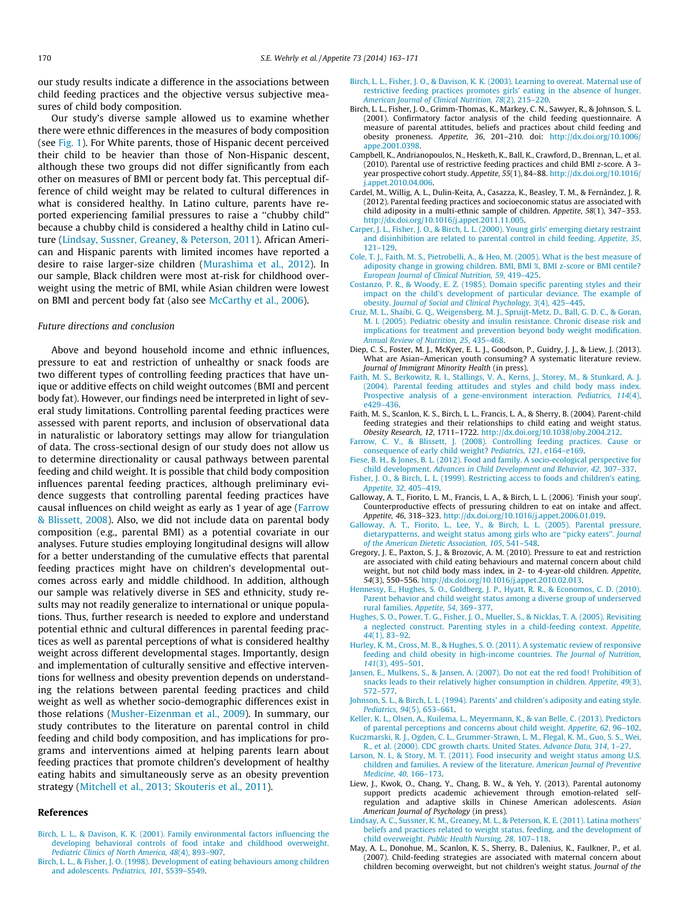<span id="page-7-0"></span>our study results indicate a difference in the associations between child feeding practices and the objective versus subjective measures of child body composition.

Our study's diverse sample allowed us to examine whether there were ethnic differences in the measures of body composition (see [Fig. 1\)](#page-3-0). For White parents, those of Hispanic decent perceived their child to be heavier than those of Non-Hispanic descent, although these two groups did not differ significantly from each other on measures of BMI or percent body fat. This perceptual difference of child weight may be related to cultural differences in what is considered healthy. In Latino culture, parents have reported experiencing familial pressures to raise a ''chubby child'' because a chubby child is considered a healthy child in Latino culture (Lindsay, Sussner, Greaney, & Peterson, 2011). African American and Hispanic parents with limited incomes have reported a desire to raise larger-size children [\(Murashima et al., 2012](#page-8-0)). In our sample, Black children were most at-risk for childhood overweight using the metric of BMI, while Asian children were lowest on BMI and percent body fat (also see [McCarthy et al., 2006\)](#page-8-0).

#### Future directions and conclusion

Above and beyond household income and ethnic influences, pressure to eat and restriction of unhealthy or snack foods are two different types of controlling feeding practices that have unique or additive effects on child weight outcomes (BMI and percent body fat). However, our findings need be interpreted in light of several study limitations. Controlling parental feeding practices were assessed with parent reports, and inclusion of observational data in naturalistic or laboratory settings may allow for triangulation of data. The cross-sectional design of our study does not allow us to determine directionality or causal pathways between parental feeding and child weight. It is possible that child body composition influences parental feeding practices, although preliminary evidence suggests that controlling parental feeding practices have causal influences on child weight as early as 1 year of age (Farrow & Blissett, 2008). Also, we did not include data on parental body composition (e.g., parental BMI) as a potential covariate in our analyses. Future studies employing longitudinal designs will allow for a better understanding of the cumulative effects that parental feeding practices might have on children's developmental outcomes across early and middle childhood. In addition, although our sample was relatively diverse in SES and ethnicity, study results may not readily generalize to international or unique populations. Thus, further research is needed to explore and understand potential ethnic and cultural differences in parental feeding practices as well as parental perceptions of what is considered healthy weight across different developmental stages. Importantly, design and implementation of culturally sensitive and effective interventions for wellness and obesity prevention depends on understanding the relations between parental feeding practices and child weight as well as whether socio-demographic differences exist in those relations ([Musher-Eizenman et al., 2009](#page-8-0)). In summary, our study contributes to the literature on parental control in child feeding and child body composition, and has implications for programs and interventions aimed at helping parents learn about feeding practices that promote children's development of healthy eating habits and simultaneously serve as an obesity prevention strategy ([Mitchell et al., 2013; Skouteris et al., 2011](#page-8-0)).

#### References

- [Birch, L. L., & Davison, K. K. \(2001\). Family environmental factors influencing the](http://refhub.elsevier.com/S0195-6663(13)00454-6/h0005) [developing behavioral controls of food intake and childhood overweight.](http://refhub.elsevier.com/S0195-6663(13)00454-6/h0005) [Pediatric Clinics of North America, 48](http://refhub.elsevier.com/S0195-6663(13)00454-6/h0005)(4), 893–907.
- [Birch, L. L., & Fisher, J. O. \(1998\). Development of eating behaviours among children](http://refhub.elsevier.com/S0195-6663(13)00454-6/h0015) [and adolescents.](http://refhub.elsevier.com/S0195-6663(13)00454-6/h0015) Pediatrics, 101, S539–S549.
- [Birch, L. L., Fisher, J. O., & Davison, K. K. \(2003\). Learning to overeat. Maternal use of](http://refhub.elsevier.com/S0195-6663(13)00454-6/h0020) [restrictive feeding practices promotes girls' eating in the absence of hunger.](http://refhub.elsevier.com/S0195-6663(13)00454-6/h0020) [American Journal of Clinical Nutrition, 78](http://refhub.elsevier.com/S0195-6663(13)00454-6/h0020)(2), 215–220.
- Birch, L. L., Fisher, J. O., Grimm-Thomas, K., Markey, C. N., Sawyer, R., & Johnson, S. L. (2001). Confirmatory factor analysis of the child feeding questionnaire. A measure of parental attitudes, beliefs and practices about child feeding and obesity proneness. Appetite, 36, 201–210. doi: [http://dx.doi.org/10.1006/](http://dx.doi.org/10.1006/appe.2001.0398) [appe.2001.0398.](http://dx.doi.org/10.1006/appe.2001.0398)
- Campbell, K., Andrianopoulos, N., Hesketh, K., Ball, K., Crawford, D., Brennan, L., et al. (2010). Parental use of restrictive feeding practices and child BMI z-score. A 3 year prospective cohort study. Appetite, 55(1), 84–88. [http://dx.doi.org/10.1016/](http://dx.doi.org/10.1016/j.appet.2010.04.006) appet.2010.04.006.
- Cardel, M., Willig, A. L., Dulin-Keita, A., Casazza, K., Beasley, T. M., & Fernández, J. R. (2012). Parental feeding practices and socioeconomic status are associated with child adiposity in a multi-ethnic sample of children. Appetite, 58(1), 347–353. [http://dx.doi.org/10.1016/j.appet.2011.11.005.](http://dx.doi.org/10.1016/j.appet.2011.11.005)
- [Carper, J. L., Fisher, J. O., & Birch, L. L. \(2000\). Young girls' emerging dietary restraint](http://refhub.elsevier.com/S0195-6663(13)00454-6/h0035) [and disinhibition are related to parental control in child feeding.](http://refhub.elsevier.com/S0195-6663(13)00454-6/h0035) Appetite, 35, [121–129](http://refhub.elsevier.com/S0195-6663(13)00454-6/h0035).
- [Cole, T. J., Faith, M. S., Pietrobelli, A., & Heo, M. \(2005\). What is the best measure of](http://refhub.elsevier.com/S0195-6663(13)00454-6/h0040) [adiposity change in growing children. BMI, BMI %, BMI z-score or BMI centile?](http://refhub.elsevier.com/S0195-6663(13)00454-6/h0040) [European Journal of Clinical Nutrition, 59](http://refhub.elsevier.com/S0195-6663(13)00454-6/h0040), 419–425.
- [Costanzo, P. R., & Woody, E. Z. \(1985\). Domain specific parenting styles and their](http://refhub.elsevier.com/S0195-6663(13)00454-6/h0045) [impact on the child's development of particular deviance. The example of](http://refhub.elsevier.com/S0195-6663(13)00454-6/h0045) obesity. [Journal of Social and Clinical Psychology, 3](http://refhub.elsevier.com/S0195-6663(13)00454-6/h0045)(4), 425–445.
- [Cruz, M. L., Shaibi, G. Q., Weigensberg, M. J., Spruijt-Metz, D., Ball, G. D. C., & Goran,](http://refhub.elsevier.com/S0195-6663(13)00454-6/h0050) [M. I. \(2005\). Pediatric obesity and insulin resistance. Chronic disease risk and](http://refhub.elsevier.com/S0195-6663(13)00454-6/h0050) [implications for treatment and prevention beyond body weight modification.](http://refhub.elsevier.com/S0195-6663(13)00454-6/h0050) [Annual Review of Nutrition, 25](http://refhub.elsevier.com/S0195-6663(13)00454-6/h0050), 435–468.
- Diep, C. S., Foster, M. J., McKyer, E. L. J., Goodson, P., Guidry, J. J., & Liew, J. (2013). What are Asian–American youth consuming? A systematic literature review. Journal of Immigrant Minority Health (in press).
- [Faith, M. S., Berkowitz, R. I., Stallings, V. A., Kerns, J., Storey, M., & Stunkard, A. J.](http://refhub.elsevier.com/S0195-6663(13)00454-6/h0060) [\(2004\). Parental feeding attitudes and styles and child body mass index.](http://refhub.elsevier.com/S0195-6663(13)00454-6/h0060) [Prospective analysis of a gene-environment interaction.](http://refhub.elsevier.com/S0195-6663(13)00454-6/h0060) Pediatrics, 114(4), [e429–436.](http://refhub.elsevier.com/S0195-6663(13)00454-6/h0060)
- Faith, M. S., Scanlon, K. S., Birch, L. L., Francis, L. A., & Sherry, B. (2004). Parent-child feeding strategies and their relationships to child eating and weight status. Obesity Research, 12, 1711–1722. [http://dx.doi.org/10.1038/oby.2004.212.](http://dx.doi.org/10.1038/oby.2004.212)
- [Farrow, C. V., & Blissett, J. \(2008\). Controlling feeding practices. Cause or](http://refhub.elsevier.com/S0195-6663(13)00454-6/h0070) [consequence of early child weight?](http://refhub.elsevier.com/S0195-6663(13)00454-6/h0070) Pediatrics, 121, e164–e169.
- [Fiese, B. H., & Jones, B. L. \(2012\). Food and family. A socio-ecological perspective for](http://refhub.elsevier.com/S0195-6663(13)00454-6/h0075) child development. [Advances in Child Development and Behavior, 42](http://refhub.elsevier.com/S0195-6663(13)00454-6/h0075), 307–337.
- [Fisher, J. O., & Birch, L. L. \(1999\). Restricting access to foods and children's eating.](http://refhub.elsevier.com/S0195-6663(13)00454-6/h0080) [Appetite, 32](http://refhub.elsevier.com/S0195-6663(13)00454-6/h0080), 405–419.
- Galloway, A. T., Fiorito, L. M., Francis, L. A., & Birch, L. L. (2006). 'Finish your soup'. Counterproductive effects of pressuring children to eat on intake and affect. Appetite, 46, 318–323. [http://dx.doi.org/10.1016/j.appet.2006.01.019.](http://dx.doi.org/10.1016/j.appet.2006.01.019)
- [Galloway, A. T., Fiorito, L., Lee, Y., & Birch, L. L. \(2005\). Parental pressure,](http://refhub.elsevier.com/S0195-6663(13)00454-6/h0090) [dietarypatterns, and weight status among girls who are ''picky eaters''.](http://refhub.elsevier.com/S0195-6663(13)00454-6/h0090) Journal [of the American Dietetic Association, 105](http://refhub.elsevier.com/S0195-6663(13)00454-6/h0090), 541–548.
- Gregory, J. E., Paxton, S. J., & Brozovic, A. M. (2010). Pressure to eat and restriction are associated with child eating behaviours and maternal concern about child weight, but not child body mass index, in 2- to 4-year-old children. Appetite, 54(3), 550–556. [http://dx.doi.org/10.1016/j.appet.2010.02.013.](http://dx.doi.org/10.1016/j.appet.2010.02.013)
- [Hennessy, E., Hughes, S. O., Goldberg, J. P., Hyatt, R. R., & Economos, C. D. \(2010\).](http://refhub.elsevier.com/S0195-6663(13)00454-6/h0100) [Parent behavior and child weight status among a diverse group of underserved](http://refhub.elsevier.com/S0195-6663(13)00454-6/h0100) [rural families.](http://refhub.elsevier.com/S0195-6663(13)00454-6/h0100) Appetite, 54, 369–377.
- [Hughes, S. O., Power, T. G., Fisher, J. O., Mueller, S., & Nicklas, T. A. \(2005\). Revisiting](http://refhub.elsevier.com/S0195-6663(13)00454-6/h0105) [a neglected construct. Parenting styles in a child-feeding context.](http://refhub.elsevier.com/S0195-6663(13)00454-6/h0105) Appetite, 44[\(1\), 83–92](http://refhub.elsevier.com/S0195-6663(13)00454-6/h0105).
- [Hurley, K. M., Cross, M. B., & Hughes, S. O. \(2011\). A systematic review of responsive](http://refhub.elsevier.com/S0195-6663(13)00454-6/h0110) [feeding and child obesity in high-income countries.](http://refhub.elsevier.com/S0195-6663(13)00454-6/h0110) The Journal of Nutrition, 141[\(3\), 495–501](http://refhub.elsevier.com/S0195-6663(13)00454-6/h0110).
- [Jansen, E., Mulkens, S., & Jansen, A. \(2007\). Do not eat the red food! Prohibition of](http://refhub.elsevier.com/S0195-6663(13)00454-6/h0115) [snacks leads to their relatively higher consumption in children.](http://refhub.elsevier.com/S0195-6663(13)00454-6/h0115) Appetite, 49(3), [572–577](http://refhub.elsevier.com/S0195-6663(13)00454-6/h0115).
- [Johnson, S. L., & Birch, L. L. \(1994\). Parents' and children's adiposity and eating style.](http://refhub.elsevier.com/S0195-6663(13)00454-6/h0120) Pediatrics, 94[\(5\), 653–661](http://refhub.elsevier.com/S0195-6663(13)00454-6/h0120).
- [Keller, K. L., Olsen, A., Kuilema, L., Meyermann, K., & van Belle, C. \(2013\). Predictors](http://refhub.elsevier.com/S0195-6663(13)00454-6/h0125) [of parental perceptions and concerns about child weight.](http://refhub.elsevier.com/S0195-6663(13)00454-6/h0125) Appetite, 62, 96–102.
- [Kuczmarski, R. J., Ogden, C. L., Grummer-Strawn, L. M., Flegal, K. M., Guo, S. S., Wei,](http://refhub.elsevier.com/S0195-6663(13)00454-6/h0130) [R., et al. \(2000\). CDC growth charts. United States.](http://refhub.elsevier.com/S0195-6663(13)00454-6/h0130) Advance Data, 314, 1–27.
- [Larson, N. I., & Story, M. T. \(2011\). Food insecurity and weight status among U.S.](http://refhub.elsevier.com/S0195-6663(13)00454-6/h0135) [children and families. A review of the literature.](http://refhub.elsevier.com/S0195-6663(13)00454-6/h0135) American Journal of Preventive [Medicine, 40](http://refhub.elsevier.com/S0195-6663(13)00454-6/h0135), 166–173.
- Liew, J., Kwok, O., Chang, Y., Chang, B. W., & Yeh, Y. (2013). Parental autonomy support predicts academic achievement through emotion-related selfregulation and adaptive skills in Chinese American adolescents. Asian American Journal of Psychology (in press).
- [Lindsay, A. C., Sussner, K. M., Greaney, M. L., & Peterson, K. E. \(2011\). Latina mothers'](http://refhub.elsevier.com/S0195-6663(13)00454-6/h0145) [beliefs and practices related to weight status, feeding, and the development of](http://refhub.elsevier.com/S0195-6663(13)00454-6/h0145) child overweight. [Public Health Nursing, 28](http://refhub.elsevier.com/S0195-6663(13)00454-6/h0145), 107–118.
- May, A. L., Donohue, M., Scanlon, K. S., Sherry, B., Dalenius, K., Faulkner, P., et al. (2007). Child-feeding strategies are associated with maternal concern about children becoming overweight, but not children's weight status. Journal of the